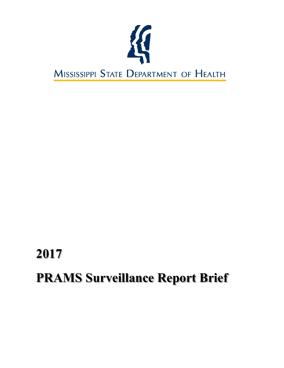

# **2017 PRAMS Surveillance Report Brief**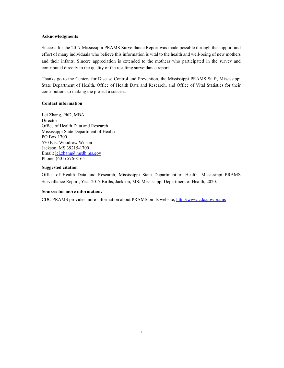#### **Acknowledgments**

Success for the 2017 Mississippi PRAMS Surveillance Report was made possible through the support and effort of many individuals who believe this information is vital to the health and well-being of new mothers and their infants. Sincere appreciation is extended to the mothers who participated in the survey and contributed directly to the quality of the resulting surveillance report.

Thanks go to the Centers for Disease Control and Prevention, the Mississippi PRAMS Staff, Mississippi State Department of Health, Office of Health Data and Research, and Office of Vital Statistics for their contributions to making the project a success.

# **Contact information**

Lei Zhang, PhD, MBA, Director Office of Health Data and Research Mississippi State Department of Health PO Box 1700 570 East Woodrow Wilson Jackson, MS 39215-1700 Email: [lei.zhang@msdh.ms.gov](mailto:lei.zhang@msdh.ms.gov) Phone: (601) 576‐8165

#### **Suggested citation**

Office of Health Data and Research, Mississippi State Department of Health. Mississippi PRAMS Surveillance Report, Year 2017 Births, Jackson, MS: Mississippi Department of Health, 2020.

#### **Sources for more information:**

CDC PRAMS provides more information about PRAMS on its website,<http://www.cdc.gov/prams>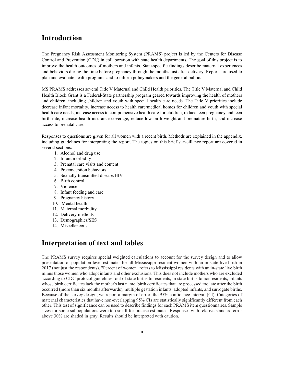# **Introduction**

The Pregnancy Risk Assessment Monitoring System (PRAMS) project is led by the Centers for Disease Control and Prevention (CDC) in collaboration with state health departments. The goal of this project is to improve the health outcomes of mothers and infants. State-specific findings describe maternal experiences and behaviors during the time before pregnancy through the months just after delivery. Reports are used to plan and evaluate health programs and to inform policymakers and the general public.

MS PRAMS addresses several Title V Maternal and Child Health priorities. The Title V Maternal and Child Health Block Grant is a Federal-State partnership program geared towards improving the health of mothers and children, including children and youth with special health care needs. The Title V priorities include decrease infant mortality, increase access to health care/medical homes for children and youth with special health care needs, increase access to comprehensive health care for children, reduce teen pregnancy and teen birth rate, increase health insurance coverage, reduce low birth weight and premature birth, and increase access to prenatal care.

Responses to questions are given for all women with a recent birth. Methods are explained in the appendix, including guidelines for interpreting the report. The topics on this brief surveillance report are covered in several sections:

- 1. Alcohol and drug use
- 2. Infant morbidity
- 3. Prenatal care visits and content
- 4. Preconception behaviors
- 5. Sexually transmitted disease/HIV
- 6. Birth control
- 7. Violence
- 8. Infant feeding and care
- 9. Pregnancy history
- 10. Mental health
- 11. Maternal morbidity
- 12. Delivery methods
- 13. Demographics/SES
- 14. Miscellaneous

# **Interpretation of text and tables**

The PRAMS survey requires special weighted calculations to account for the survey design and to allow presentation of population level estimates for all Mississippi resident women with an in-state live birth in 2017 (not just the respondents). "Percent of women" refers to Mississippi residents with an in-state live birth minus those women who adopt infants and other exclusions. This does not include mothers who are excluded according to CDC protocol guidelines: out of state births to residents, in state births to nonresidents, infants whose birth certificates lack the mother's last name, birth certificates that are processed too late after the birth occurred (more than six months afterwards), multiple gestation infants, adopted infants, and surrogate births. Because of the survey design, we report a margin of error, the 95% confidence interval (CI). Categories of maternal characteristics that have non-overlapping 95% CIs are statistically significantly different from each other. This test of significance can be used to describe findings for each PRAMS item questionnaires. Sample sizes for some subpopulations were too small for precise estimates. Responses with relative standard error above 30% are shaded in gray. Results should be interpreted with caution.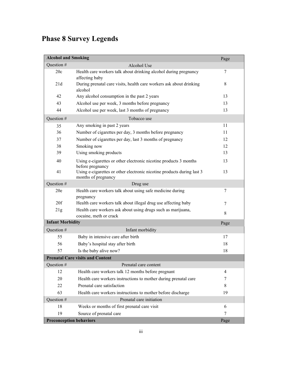# **Phase 8 Survey Legends**

| <b>Alcohol and Smoking</b>     |                                                                                               | Page |
|--------------------------------|-----------------------------------------------------------------------------------------------|------|
| Question #                     | Alcohol Use                                                                                   |      |
| 20c                            | Health care workers talk about drinking alcohol during pregnancy<br>affecting baby            | 7    |
| 21d                            | During prenatal care visits, health care workers ask about drinking<br>alcohol                | 8    |
| 42                             | Any alcohol consumption in the past 2 years                                                   | 13   |
| 43                             | Alcohol use per week, 3 months before pregnancy                                               | 13   |
| 44                             | Alcohol use per week, last 3 months of pregnancy                                              | 13   |
| Question #                     | Tobacco use                                                                                   |      |
| 35                             | Any smoking in past 2 years                                                                   | 11   |
| 36                             | Number of cigarettes per day, 3 months before pregnancy                                       | 11   |
| 37                             | Number of cigarettes per day, last 3 months of pregnancy                                      | 12   |
| 38                             | Smoking now                                                                                   | 12   |
| 39                             | Using smoking products                                                                        | 13   |
| 40                             | Using e-cigarettes or other electronic nicotine products 3 months<br>before pregnancy         | 13   |
| 41                             | Using e-cigarettes or other electronic nicotine products during last 3<br>months of pregnancy | 13   |
| Question #                     | Drug use                                                                                      |      |
| 20e                            | Health care workers talk about using safe medicine during<br>pregnancy                        | 7    |
| 20f                            | Health care workers talk about illegal drug use affecting baby                                | 7    |
| 21g                            | Health care workers ask about using drugs such as marijuana,<br>cocaine, meth or crack        | 8    |
| <b>Infant Morbidity</b>        |                                                                                               | Page |
| Question #                     | Infant morbidity                                                                              |      |
| 55                             | Baby in intensive care after birth                                                            | 17   |
| 56                             | Baby's hospital stay after birth                                                              | 18   |
| 57                             | Is the baby alive now?                                                                        | 18   |
|                                | <b>Prenatal Care visits and Content</b>                                                       |      |
| Question #                     | Prenatal care content                                                                         |      |
| 12                             | Health care workers talk 12 months before pregnant                                            | 4    |
| 20                             | Health care workers instructions to mother during prenatal care                               | 7    |
| 22                             | Prenatal care satisfaction                                                                    | 8    |
| 63                             | Health care workers instructions to mother before discharge                                   | 19   |
| Question #                     | Prenatal care initiation                                                                      |      |
| 18                             | Weeks or months of first prenatal care visit                                                  | 6    |
| 19                             | Source of prenatal care                                                                       | 7    |
| <b>Preconception behaviors</b> |                                                                                               | Page |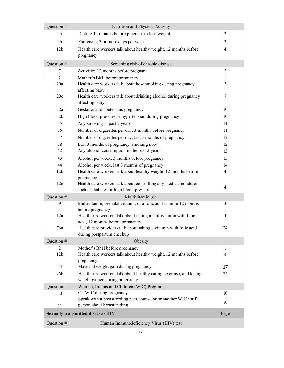| Question #      | Nutrition and Physical Activity                                                                              |                |
|-----------------|--------------------------------------------------------------------------------------------------------------|----------------|
| 7a              | Dieting 12 months before pregnant to lose weight                                                             | $\overline{2}$ |
| 7 <sub>b</sub>  | Exercising 3 or more days per week                                                                           | $\overline{2}$ |
| 12 <sub>b</sub> | Health care workers talk about healthy weight, 12 months before                                              | $\overline{4}$ |
|                 | pregnancy                                                                                                    |                |
| Question #      | Screening risk of chronic disease                                                                            |                |
| 7               | Activities 12 months before pregnant                                                                         | 2              |
| $\overline{2}$  | Mother's BMI before pregnancy                                                                                | 1              |
| 20a             | Health care workers talk about how smoking during pregnancy<br>affecting baby                                | $\tau$         |
| 20c             | Health care workers talk about drinking alcohol during pregnancy<br>affecting baby                           | 7              |
| 32a             | Gestational diabetes this pregnancy                                                                          | 10             |
| 32 <sub>b</sub> | High blood pressure or hypertension during pregnancy                                                         | 10             |
| 35              | Any smoking in past 2 years                                                                                  | 11             |
| 36              | Number of cigarettes per day, 3 months before pregnancy                                                      | 11             |
| 37              | Number of cigarettes per day, last 3 months of pregnancy                                                     | 12             |
| 38              | Last 3 months of pregnancy, smoking now                                                                      | 12             |
| 42              | Any alcohol consumption in the past 2 years                                                                  | 13             |
| 43              | Alcohol per week, 3 months before pregnancy                                                                  | 13             |
| 44              | Alcohol per week, last 3 months of pregnancy                                                                 | 14             |
| 12 <sub>b</sub> | Health care workers talk about healthy weight, 12 months before                                              | $\overline{4}$ |
|                 | pregnancy                                                                                                    |                |
| 12c             | Health care workers talk about controlling any medical conditions<br>such as diabetes or high blood pressure | $\overline{4}$ |
| Question #      | Multivitamin use                                                                                             |                |
| 9               | Multivitamin, prenatal vitamin, or a folic acid vitamin 12 months<br>before pregnancy                        | 3              |
| 12a             | Health care workers talk about taking a multivitamin with folic<br>acid, 12 months before pregnancy          | $\overline{4}$ |
| 76a             | Health care providers talk about taking a vitamin with folic acid<br>during postpartum checkup               | 24             |
| Question #      | Obesity                                                                                                      |                |
| $\overline{2}$  | Mother's BMI before pregnancy                                                                                | 1              |
| 12 <sub>b</sub> | Health care workers talk about healthy weight, 12 months before                                              | 4              |
| 54              | pregnancy<br>Maternal weight gain during pregnancy                                                           |                |
| 76b             | Health care workers talk about healthy eating, exercise, and losing                                          | 17<br>24       |
|                 | weight gained during pregnancy                                                                               |                |
| Question #      | Women, Infants and Children (WIC) Program                                                                    |                |
| 30              | On WIC during pregnancy                                                                                      | 10             |
|                 | Speak with a breastfeeding peer counselor or another WIC staff                                               | 10             |
| 31              | person about breastfeeding                                                                                   |                |
|                 | <b>Sexually transmitted disease / HIV</b>                                                                    | Page           |
| Question #      | Human Immunodeficiency Virus (HIV) test                                                                      |                |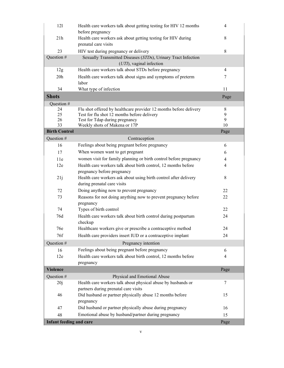| 121<br>before pregnancy        | Health care workers talk about getting testing for HIV 12 months                             | $\overline{4}$ |
|--------------------------------|----------------------------------------------------------------------------------------------|----------------|
| 21h                            | Health care workers ask about getting testing for HIV during                                 | 8              |
| prenatal care visits           |                                                                                              |                |
| 23                             | HIV test during pregnancy or delivery                                                        | 8              |
| Question #                     | Sexually Transmitted Diseases (STDs), Urinary Tract Infection<br>$(UTI)$ , vaginal infection |                |
| 12g                            | Health care workers talk about STDs before pregnancy                                         | $\overline{4}$ |
| 20h<br>labor                   | Health care workers talk about signs and symptoms of preterm                                 | 7              |
| 34<br>What type of infection   |                                                                                              | 11             |
| <b>Shots</b>                   |                                                                                              | Page           |
| Question #                     |                                                                                              |                |
| 24                             | Flu shot offered by healthcare provider 12 months before delivery                            | 8              |
| 25                             | Test for flu shot 12 months before delivery                                                  | 9              |
| 26                             | Test for Tdap during pregnancy                                                               | 9              |
| 33                             | Weekly shots of Makena or 17P                                                                | 10             |
| <b>Birth Control</b>           |                                                                                              | Page           |
| Question #                     | Contraception                                                                                |                |
| 16                             | Feelings about being pregnant before pregnancy                                               | 6              |
| 17                             | When women want to get pregnant                                                              | 6              |
| 11e                            | women visit for family planning or birth control before pregnancy                            | $\overline{4}$ |
| 12e                            | Health care workers talk about birth control, 12 months before                               | 4              |
|                                | pregnancy before pregnancy                                                                   |                |
| 21j                            | Health care workers ask about using birth control after delivery                             | $\,8\,$        |
| during prenatal care visits    |                                                                                              |                |
| 72                             | Doing anything now to prevent pregnancy                                                      | 22             |
| 73<br>pregnancy                | Reasons for not doing anything now to prevent pregnancy before                               | 22             |
| 74<br>Types of birth control   |                                                                                              | 22             |
| 76d<br>checkup                 | Health care workers talk about birth control during postpartum                               | 24             |
| 76e                            | Healthcare workers give or prescribe a contraceptive method                                  | 24             |
| 76f                            | Health care providers insert IUD or a contraceptive implant                                  | 24             |
|                                |                                                                                              |                |
| Question #                     | Pregnancy intention                                                                          |                |
| 16                             | Feelings about being pregnant before pregnancy                                               | 6              |
| 12e                            | Health care workers talk about birth control, 12 months before                               | 4              |
| pregnancy                      |                                                                                              |                |
| <b>Violence</b>                |                                                                                              | Page           |
| Question #                     | Physical and Emotional Abuse                                                                 |                |
| 20j                            | Health care workers talk about physical abuse by husbands or                                 | 7              |
|                                | partners during prenatal care visits                                                         |                |
| 46                             | Did husband or partner physically abuse 12 months before                                     | 15             |
| pregnancy                      |                                                                                              |                |
| 47                             | Did husband or partner physically abuse during pregnancy                                     | 16             |
| 48                             | Emotional abuse by husband/partner during pregnancy                                          | 15             |
| <b>Infant feeding and care</b> |                                                                                              | Page           |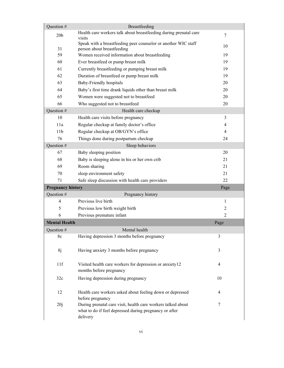| Question #               | Breastfeeding                                                                                                                      |                |
|--------------------------|------------------------------------------------------------------------------------------------------------------------------------|----------------|
| 20 <sub>b</sub>          | Health care workers talk about breastfeeding during prenatal care<br>visits                                                        | $\tau$         |
| 31                       | Speak with a breastfeeding peer counselor or another WIC staff<br>person about breastfeeding                                       | 10             |
| 59                       | Women received information about breastfeeding                                                                                     | 19             |
| 60                       | Ever breastfeed or pump breast milk                                                                                                | 19             |
| 61                       | Currently breastfeeding or pumping breast milk                                                                                     | 19             |
| 62                       | Duration of breastfeed or pump breast milk                                                                                         | 19             |
| 63                       | Baby-Friendly hospitals                                                                                                            | 20             |
| 64                       | Baby's first time drank liquids other than breast milk                                                                             | 20             |
| 65                       | Women were suggested not to breastfeed                                                                                             | 20             |
| 66                       | Who suggested not to breastfeed                                                                                                    | 20             |
| Question #               | Health care checkup                                                                                                                |                |
| 10                       | Health care visits before pregnancy                                                                                                | 3              |
| 11a                      | Regular checkup at family doctor's office                                                                                          | 4              |
| 11 <sub>b</sub>          | Regular checkup at OB/GYN's office                                                                                                 | 4              |
| 76                       | Things done during postpartum checkup                                                                                              | 24             |
| Question #               | Sleep behaviors                                                                                                                    |                |
| 67                       | Baby sleeping position                                                                                                             | 20             |
| 68                       | Baby is sleeping alone in his or her own crib                                                                                      | 21             |
| 69                       | Room sharing                                                                                                                       | 21             |
| 70                       | sleep environment safety                                                                                                           | 21             |
| 71                       | Safe sleep discussion with health care providers                                                                                   | 22             |
| <b>Pregnancy history</b> |                                                                                                                                    | Page           |
| Question #               | Pregnancy history                                                                                                                  |                |
| 4                        | Previous live birth                                                                                                                | 1              |
| 5                        | Previous low birth weight birth                                                                                                    | $\overline{c}$ |
| 6                        | Previous premature infant                                                                                                          | 2              |
| <b>Mental Health</b>     |                                                                                                                                    | Page           |
| Question #               | Mental health                                                                                                                      |                |
| 8c                       | Having depression 3 months before pregnancy                                                                                        | 3              |
| 8j                       | Having anxiety 3 months before pregnancy                                                                                           | 3              |
| 11f                      | Visited health care workers for depression or anxiety12<br>months before pregnancy                                                 | 4              |
| 32c                      | Having depression during pregnancy                                                                                                 | 10             |
| 12                       | Health care workers asked about feeling down or depressed<br>before pregnancy                                                      | 4              |
| 20j                      | During prenatal care visit, health care workers talked about<br>what to do if feel depressed during pregnancy or after<br>delivery | 7              |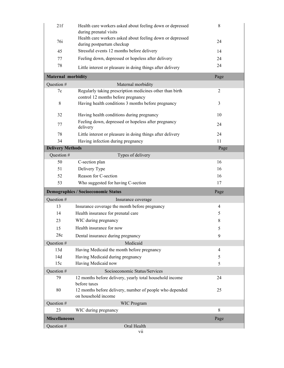| 21f                       | Health care workers asked about feeling down or depressed<br>during prenatal visits            | 8              |
|---------------------------|------------------------------------------------------------------------------------------------|----------------|
|                           | Health care workers asked about feeling down or depressed                                      |                |
| 76i                       | during postpartum checkup                                                                      | 24             |
| 45                        | Stressful events 12 months before delivery                                                     | 14             |
| 77                        | Feeling down, depressed or hopeless after delivery                                             | 24             |
| 78                        | Little interest or pleasure in doing things after delivery                                     | 24             |
| <b>Maternal morbidity</b> |                                                                                                | Page           |
| Question #                | Maternal morbidity                                                                             |                |
| 7c                        | Regularly taking prescription medicines other than birth<br>control 12 months before pregnancy | 2              |
| 8                         | Having health conditions 3 months before pregnancy                                             | 3              |
| 32                        | Having health conditions during pregnancy                                                      | 10             |
| 77                        | Feeling down, depressed or hopeless after pregnancy<br>delivery                                | 24             |
| 78                        | Little interest or pleasure in doing things after delivery                                     | 24             |
| 34                        | Having infection during pregnancy                                                              | 11             |
| <b>Delivery Methods</b>   |                                                                                                | Page           |
| Question #                | Types of delivery                                                                              |                |
| 50                        | C-section plan                                                                                 | 16             |
| 51                        | Delivery Type                                                                                  | 16             |
| 52                        | Reason for C-section                                                                           | 16             |
| 53                        | Who suggested for having C-section                                                             | 17             |
|                           | <b>Demographics / Socioeconomic Status</b>                                                     | Page           |
| Question #                | Insurance coverage                                                                             |                |
| 13                        | Insurance coverage the month before pregnancy                                                  | $\overline{4}$ |
| 14                        | Health insurance for prenatal care                                                             | 5              |
| 23                        | WIC during pregnancy                                                                           | 8              |
| 15                        | Health insurance for now                                                                       | 5              |
| 28c                       | Dental insurance during pregnancy                                                              | 9              |
| Question #                | Medicaid                                                                                       |                |
| 13d                       | Having Medicaid the month before pregnancy                                                     | $\overline{4}$ |
| 14d                       | Having Medicaid during pregnancy                                                               | 5              |
| 15c                       | Having Medicaid now                                                                            | 5              |
| Question #                | Socioeconomic Status/Services                                                                  |                |
| 79                        | 12 months before delivery, yearly total household income<br>before taxes                       | 24             |
| 80                        | 12 months before delivery, number of people who depended<br>on household income                | 25             |
| Question #                | <b>WIC Program</b>                                                                             |                |
| 23                        |                                                                                                |                |
|                           | WIC during pregnancy                                                                           | 8              |
| <b>Miscellaneous</b>      |                                                                                                | Page           |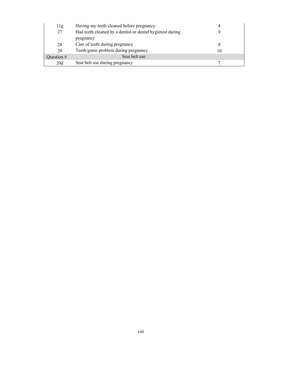| 11g          | Having my teeth cleaned before pregnancy                  |    |
|--------------|-----------------------------------------------------------|----|
| 27           | Had teeth cleaned by a dentist or dental hygienist during |    |
|              | pregnancy                                                 |    |
| 28           | Care of teeth during pregnancy                            |    |
| 29           | Teeth/gums problem during pregnancy                       | 10 |
| Ouestion $#$ | Seat belt use                                             |    |
| 20d          | Seat belt use during pregnancy                            |    |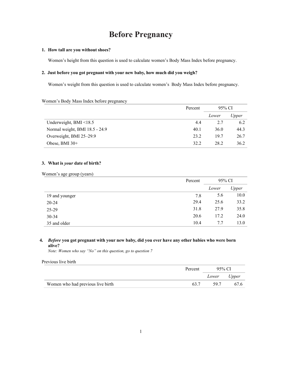# **Before Pregnancy**

#### **1. How tall are you without shoes?**

Women's height from this question is used to calculate women's Body Mass Index before pregnancy.

### **2. Just before you got pregnant with your new baby, how much did you weigh?**

Women's weight from this question is used to calculate women's Body Mass Index before pregnancy.

#### Women's Body Mass Index before pregnancy

|                                | Percent | 95% CI |       |  |
|--------------------------------|---------|--------|-------|--|
|                                |         | Lower  | Upper |  |
| Underweight, $BMI < 18.5$      | 4.4     | 2.7    | 6.2   |  |
| Normal weight, BMI 18.5 - 24.9 | 40.1    | 36.0   | 44.3  |  |
| Overweight, BMI 25-29.9        | 23.2    | 19.7   | 26.7  |  |
| Obese, BMI $30+$               | 32.2    | 28.2   | 36.2  |  |

## **3. What is** *your* **date of birth?**

| Women's age group (years) |  |  |  |
|---------------------------|--|--|--|
|---------------------------|--|--|--|

|                | Percent | 95% CI |       |  |
|----------------|---------|--------|-------|--|
|                |         | Lower  | Upper |  |
| 19 and younger | 7.8     | 5.6    | 10.0  |  |
| $20 - 24$      | 29.4    | 25.6   | 33.2  |  |
| 25-29          | 31.8    | 27.9   | 35.8  |  |
| $30 - 34$      | 20.6    | 17.2   | 24.0  |  |
| 35 and older   | 10.4    | 7.7    | 13.0  |  |

# **4.** *Before* **you got pregnant with your new baby, did you ever have any other babies who were born alive?**

*Note: Women who say "No" on this question, go to question 7*

#### Previous live birth

|                                   | Percent | 95% CI |       |
|-----------------------------------|---------|--------|-------|
|                                   |         | Lower  | Upper |
| Women who had previous live birth |         | 597    | 67.6  |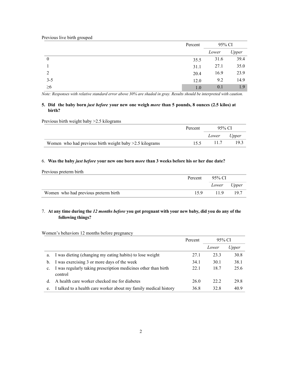|          | Percent | 95% CI |       |
|----------|---------|--------|-------|
|          |         | Lower  | Upper |
| $\theta$ | 35.5    | 31.6   | 39.4  |
|          | 31.1    | 27.1   | 35.0  |
| 2        | 20.4    | 16.9   | 23.9  |
| $3 - 5$  | 12.0    | 9.2    | 14.9  |
| $\geq 6$ | 1.0     | 0.1    | 1.9   |

# **5. Did the baby born** *just before* **your new one weigh** *more* **than 5 pounds, 8 ounces (2.5 kilos) at birth?**

Previous birth weight baby >2.5 kilograms

|                                                           | Percent | 95% CI      |      |
|-----------------------------------------------------------|---------|-------------|------|
|                                                           |         | Lower Upper |      |
| Women who had previous birth weight baby $>2.5$ kilograms | 155     | -11.7       | 19.3 |

# 6. **Was the baby** *just before* **your new one born** *more* **than 3 weeks before his or her due date?**

Previous preterm birth

|                                      | Percent 95% CI |             |        |
|--------------------------------------|----------------|-------------|--------|
|                                      |                | Lower Upper |        |
| Women who had previous preterm birth | 159            | 11.9        | - 19.7 |

# 7. At any time during the 12 months before you got pregnant with your new baby, did you do any of the **following things?**

Women's behaviors 12 months before pregnancy

|    |                                                                           | Percent | 95% CI |       |  |
|----|---------------------------------------------------------------------------|---------|--------|-------|--|
|    |                                                                           |         | Lower  | Upper |  |
| a. | I was dieting (changing my eating habits) to lose weight                  | 27.1    | 23.3   | 30.8  |  |
| b. | I was exercising 3 or more days of the week                               | 34.1    | 30.1   | 38.1  |  |
| c. | I was regularly taking prescription medicines other than birth<br>control | 22.1    | 18.7   | 25.6  |  |
| d. | A health care worker checked me for diabetes                              | 26.0    | 22.2   | 29.8  |  |
| e. | I talked to a health care worker about my family medical history          | 36.8    | 32.8   | 40.9  |  |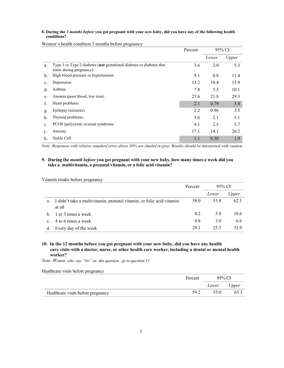#### **8. During the** *3 months before* **you got pregnant with your** *new* **baby, did you have any of the following health conditions?**

|    |                                                                                                  | Percent |       | 95% CI |
|----|--------------------------------------------------------------------------------------------------|---------|-------|--------|
|    |                                                                                                  |         | Lower | Upper  |
| a. | Type 1 or Type 2 diabetes (not gestational diabetes or diabetes that<br>starts during pregnancy) | 3.6     | 2.0   | 5.3    |
| b. | High blood pressure or hypertension                                                              | 9.1     | 6.8   | 11.4   |
| c. | Depression                                                                                       | 13.2    | 10.4  | 15.9   |
| d. | Asthma                                                                                           | 7.8     | 5.5   | 10.1   |
| e. | Anemia (poor blood, low iron)                                                                    | 25.6    | 21.8  | 29.3   |
| f. | Heart problems                                                                                   | 2.1     | 0.79  | 3.4    |
| g. | Epilepsy (seizures)                                                                              | 2.2     | 0.96  | 3.5    |
| h. | Thyroid problems.                                                                                | 3.6     | 2.1   | 5.1    |
| 1. | PCOS (polycystic ovarian syndrome)                                                               | 4.1     | 2.5   | 5.7    |
| յ. | Anxiety                                                                                          | 17.1    | 14.1  | 20.2   |
| k. | Sickle Cell                                                                                      | 1.1     | 0.30  | 1.9    |

Women's health condition 3 months before pregnancy

*Note: Responses with relative standard error above 30% are shaded in gray. Results should be interpreted with caution.*

#### **9. During the** *month before* **you got pregnant with your new baby, how many times a week did you take a multivitamin, a prenatal vitamin, or a folic acid vitamin?**

Vitamin intake before pregnancy

|                |                                                                                 | Percent | 95% CI |       |
|----------------|---------------------------------------------------------------------------------|---------|--------|-------|
|                |                                                                                 |         | Lower  | Upper |
| a.             | I didn't take a multivitamin, prenatal vitamin, or folic acid vitamin<br>at all | 58.0    | 53.8   | 62.1  |
|                | b. 1 to 3 times a week                                                          | 8.2     | 5.8    | 10.6  |
| $\mathbf{C}$ . | 4 to 6 times a week                                                             | 4.8     | 3.0    | 6.6   |
|                | Every day of the week                                                           | 29.1    | 25.3   | 32.9  |

# **10. In the 12 months before you got pregnant with your new baby, did you have any health care visits with a doctor, nurse, or other health care worker, including a dental or mental health worker?**

*Note: Women who say "No" on this question, go to question 13*

Healthcare visits before pregnancy

|                                    | Percent | 95% CI |       |
|------------------------------------|---------|--------|-------|
|                                    |         | Lower  | Upper |
| Healthcare visits before pregnancy | 59.2    | 55.0   | 63.3  |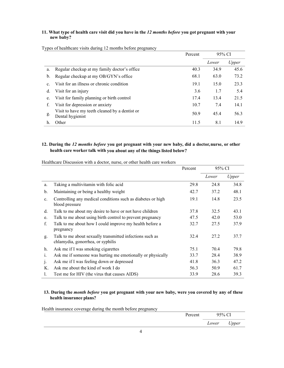# **11. What type of health care visit did you have in the** *12 months before* **you got pregnant with your new baby?**

|                |                                                                    | 95% CI<br>Percent |       |       |
|----------------|--------------------------------------------------------------------|-------------------|-------|-------|
|                |                                                                    |                   | Lower | Upper |
| a.             | Regular checkup at my family doctor's office                       | 40.3              | 34.9  | 45.6  |
| b.             | Regular checkup at my OB/GYN's office                              | 68.1              | 63.0  | 73.2  |
| $\mathbf{c}$ . | Visit for an illness or chronic condition                          | 19.1              | 15.0  | 23.3  |
| d.             | Visit for an injury                                                | 3.6               | 1.7   | 5.4   |
| e.             | Visit for family planning or birth control                         | 17.4              | 13.4  | 21.5  |
| f.             | Visit for depression or anxiety                                    | 10.7              | 7.4   | 14.1  |
| g.             | Visit to have my teeth cleaned by a dentist or<br>Dental hygienist | 50.9              | 45.4  | 56.3  |
| h.             | Other                                                              | 11.5              | 8.1   | 14.9  |

Types of healthcare visits during 12 months before pregnancy

# **12. During the** *12 months before* **you got pregnant with your new baby, did a doctor, nurse, or other health care worker talk with you about any of the things listed below?**

|                |                                                                                               | Percent | 95% CI |       |
|----------------|-----------------------------------------------------------------------------------------------|---------|--------|-------|
|                |                                                                                               |         | Lower  | Upper |
| a.             | Taking a multivitamin with folic acid                                                         | 29.8    | 24.8   | 34.8  |
| b.             | Maintaining or being a healthy weight                                                         | 42.7    | 37.2   | 48.1  |
| $\mathbf{c}$ . | Controlling any medical conditions such as diabetes or high<br>blood pressure                 | 19.1    | 14.8   | 23.5  |
| d.             | Talk to me about my desire to have or not have children                                       | 37.8    | 32.5   | 43.1  |
| e.             | Talk to me about using birth control to prevent pregnancy                                     | 47.5    | 42.0   | 53.0  |
| f.             | Talk to me about how I could improve my health before a<br>pregnancy                          | 32.7    | 27.5   | 37.9  |
| g.             | Talk to me about sexually transmitted infections such as<br>chlamydia, gonorrhea, or syphilis | 32.4    | 27.2   | 37.7  |
| h.             | Ask me if I was smoking cigarettes                                                            | 75.1    | 70.4   | 79.8  |
| 1.             | Ask me if someone was hurting me emotionally or physically                                    | 33.7    | 28.4   | 38.9  |
| $\cdot$        | Ask me if I was feeling down or depressed                                                     | 41.8    | 36.3   | 47.2  |
| K.             | Ask me about the kind of work I do                                                            | 56.3    | 50.9   | 61.7  |
| 1.             | Test me for HIV (the virus that causes AIDS)                                                  | 33.9    | 28.6   | 39.3  |

Healthcare Discussion with a doctor, nurse, or other health care workers

# **13. During the** *month before* **you got pregnant with your new baby, were you covered by any of these health insurance plans?**

Health insurance coverage during the month before pregnancy

|  |  | Percent | 95% CI |       |
|--|--|---------|--------|-------|
|  |  |         | Lower  | Upper |
|  |  |         |        |       |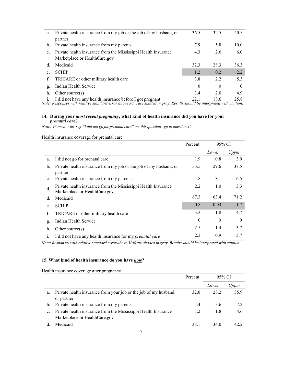| a.             | Private health insurance from my job or the job of my husband, or | 36.5 | 32.5 | 40.5     |
|----------------|-------------------------------------------------------------------|------|------|----------|
|                | partner                                                           |      |      |          |
| $\mathbf{b}$ . | Private health insurance from my parents                          | 7.9  | 5.8  | 10.0     |
| c.             | Private health insurance from the Mississippi Health Insurance    | 4.3  | 2.6  | 6.0      |
|                | Marketplace or HealthCare.gov                                     |      |      |          |
| d.             | Medicaid                                                          | 32.3 | 28.3 | 36.3     |
|                | <b>SCHIP</b>                                                      | 1.2  | 0.2  | 2.2      |
| f.             | TRICARE or other military health care                             | 3.8  | 2.2  | 5.3      |
| g.             | Indian Health Service                                             | 0    | 0    | $\Omega$ |
| h.             | Other source $(s)$                                                | 3.4  | 2.0  | 4.9      |
|                | I did not have any health insurance before I got pregnant         | 22.1 | 18.6 | 25.8     |

#### **14. During your** *most recent pregnancy***, what kind of health insurance did you have for your**  *prenatal care***?**

*Note: Women who say "I did not go for prenatal care" on this question, go to question 15*

Health insurance coverage for prenatal care

|                |                                                                                                 | Percent  | 95% CI   |          |
|----------------|-------------------------------------------------------------------------------------------------|----------|----------|----------|
|                |                                                                                                 |          | Lower    | Upper    |
| a.             | I did not go for prenatal care                                                                  | 1.9      | 0.8      | 3.0      |
| $\mathbf{b}$ . | Private health insurance from my job or the job of my husband, or<br>partner                    | 33.5     | 29.6     | 37.5     |
| $\mathbf{c}$ . | Private health insurance from my parents                                                        | 4.8      | 3.1      | 6.5      |
| d.             | Private health insurance from the Mississippi Health Insurance<br>Marketplace or HealthCare.gov | 2.2      | 1.0      | 3.3      |
| d.             | Medicaid                                                                                        | 67.3     | 63.4     | 71.2     |
| e.             | <b>SCHIP</b>                                                                                    | 0.8      | 0.03     | 1.7      |
| f.             | TRICARE or other military health care                                                           | 3.3      | 1.8      | 4.7      |
| g.             | Indian Health Service                                                                           | $\Omega$ | $\theta$ | $\Omega$ |
| h.             | Other source $(s)$                                                                              | 2.5      | 1.4      | 3.7      |
| 1.             | I did not have any health insurance for my <i>prenatal care</i>                                 | 2.3      | 0.9      | 3.7      |

*Note: Responses with relative standard error above 30% are shaded in gray. Results should be interpreted with caution.*

### **15. What kind of health insurance do you have** *now***?**

Health insurance coverage after pregnancy

|    |                                                                                                 | Percent | 95% CI |       |
|----|-------------------------------------------------------------------------------------------------|---------|--------|-------|
|    |                                                                                                 |         | Lower  | Upper |
| a. | Private health insurance from your job or the job of my husband,<br>or partner                  | 32.0    | 28.2   | 35.9  |
| b. | Private health insurance from my parents                                                        | 5.4     | 3.6    | 7.2   |
| c. | Private health insurance from the Mississippi Health Insurance<br>Marketplace or HealthCare.gov | 3.2     | 1.8    | 4.6   |
|    | Medicaid                                                                                        | 38.1    | 34.0   | 42 Z  |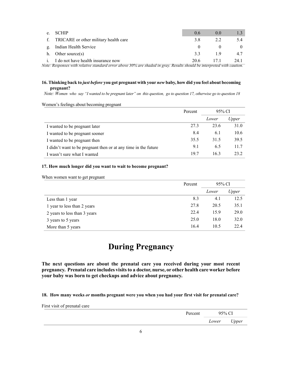| e. | <b>SCHIP</b>                             | 0.6  | (0.0) |      |
|----|------------------------------------------|------|-------|------|
|    | f. TRICARE or other military health care | 3.8  | 2.2.  | 5.4  |
|    | g. Indian Health Service                 |      |       |      |
|    | h. Other source $(s)$                    | 33   | 19    | 4.7  |
|    | i. I do not have health insurance now    | 20.6 | 171   | 24.1 |

# **16. Thinking back to** *just before* **you got pregnant with your** *new* **baby, how did you feel about becoming pregnant?**

*Note: Women who say "I wanted to be pregnant later" on this question, go to question 17, otherwise go to question 18*

| Women's feelings about becoming pregnant                       |         |        |       |  |
|----------------------------------------------------------------|---------|--------|-------|--|
|                                                                | Percent | 95% CI |       |  |
|                                                                |         | Lower  | Upper |  |
| I wanted to be pregnant later                                  | 27.3    | 23.6   | 31.0  |  |
| I wanted to be pregnant sooner                                 | 8.4     | 6.1    | 10.6  |  |
| I wanted to be pregnant then                                   | 35.5    | 31.5   | 39.5  |  |
| I didn't want to be pregnant then or at any time in the future | 9.1     | 6.5    | 11.7  |  |
| I wasn't sure what I wanted                                    | 19.7    | 16.3   | 23.2  |  |

#### **17. How much longer did you want to wait to become pregnant?**

|  |  |  |  | When women want to get pregnant |
|--|--|--|--|---------------------------------|
|--|--|--|--|---------------------------------|

|                              | Percent | 95% CI |       |
|------------------------------|---------|--------|-------|
|                              |         | Lower  | Upper |
| Less than 1 year             | 8.3     | 4.1    | 12.5  |
| 1 year to less than 2 years  | 27.8    | 20.5   | 35.1  |
| 2 years to less than 3 years | 22.4    | 15.9   | 29.0  |
| 3 years to 5 years           | 25.0    | 18.0   | 32.0  |
| More than 5 years            | 16.4    | 10.5   | 22.4  |

# **During Pregnancy**

**The next questions are about the prenatal care you received during your most recent pregnancy. Prenatal care includes visitsto a doctor, nurse, or other health care worker before your baby was born to get checkups and advice about pregnancy.**

**18. How many weeks** *or* **months pregnant were you when you had your first visit for prenatal care?**

First visit of prenatal care

| Percent | 95% CI |       |
|---------|--------|-------|
|         | Lower  | Upper |
|         |        |       |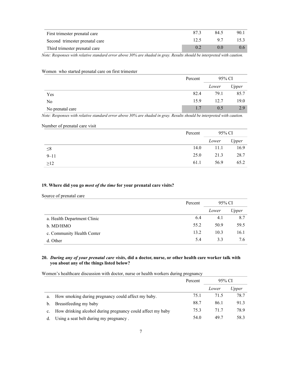| First trimester prenatal care  | 87.3 | 84.5 | 90.1    |
|--------------------------------|------|------|---------|
| Second trimester prenatal care | 12.5 | 97   | 15.3    |
| Third trimester prenatal care  |      |      | $0.6-1$ |

Women who started prenatal care on first trimester

|                  | Percent | 95% CI |       |
|------------------|---------|--------|-------|
|                  |         | Lower  | Upper |
| Yes              | 82.4    | 79.1   | 85.7  |
| N <sub>o</sub>   | 15.9    | 12.7   | 19.0  |
| No prenatal care | 1.7     | 0.5    | 2.9   |

*Note: Responses with relative standard error above 30% are shaded in gray. Results should be interpreted with caution.*

#### Number of prenatal care visit

|           | Percent | 95% CI |       |
|-----------|---------|--------|-------|
|           |         | Lower  | Upper |
| $\leq 8$  | 14.0    | 11.1   | 16.9  |
| $9 - 11$  | 25.0    | 21.3   | 28.7  |
| $\geq$ 12 | 61.1    | 56.9   | 65.2  |

### **19. Where did you go** *most of the time* **for your prenatal care visits?**

Source of prenatal care

|                             | Percent | 95% CI |       |
|-----------------------------|---------|--------|-------|
|                             |         | Lower  | Upper |
| a. Health Department Clinic | 6.4     | 4.1    | 8.7   |
| b. MD/HMO                   | 55.2    | 50.9   | 59.5  |
| c. Community Health Center  | 13.2    | 10.3   | 16.1  |
| d. Other                    | 5.4     | 3.3    | 7.6   |

## **20.** *During any of your prenatal care visits***, did a doctor, nurse, or other health care worker talk with you about any of the things listed below?**

Women's healthcare discussion with doctor, nurse or health workers during pregnancy

|    |                                                            | Percent | 95% CI |              |
|----|------------------------------------------------------------|---------|--------|--------------|
|    |                                                            |         | Lower  | <i>Upper</i> |
| a. | How smoking during pregnancy could affect my baby.         | 75.1    | 71.5   | 78.7         |
| b. | Breastfeeding my baby                                      | 88.7    | 86.1   | 91.3         |
|    | How drinking alcohol during pregnancy could affect my baby | 75.3    | 71.7   | 78.9         |
|    | Using a seat belt during my pregnancy.                     | 54.0    | 49.7   | 58.3         |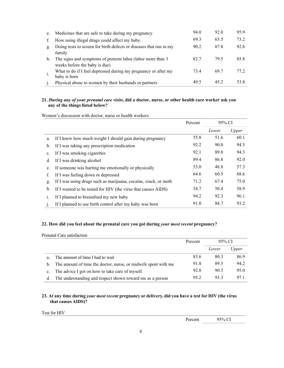| e. | Medicines that are safe to take during my pregnancy                                         | 94.0 | 92.0 | 95.9 |
|----|---------------------------------------------------------------------------------------------|------|------|------|
| f. | How using illegal drugs could affect my baby.                                               | 69.3 | 65.5 | 73.2 |
| g. | Doing tests to screen for birth defects or diseases that run in my<br>family                | 90.2 | 87.8 | 92.6 |
| h. | The signs and symptoms of preterm labor (labor more than 3<br>weeks before the baby is due) | 82.7 | 79.5 | 85.8 |
|    | What to do if I feel depressed during my pregnancy or after my<br>baby is born              | 73.4 | 69.7 | 77.2 |
|    | Physical abuse to women by their husbands or partners                                       | 49.5 | 45.2 | 53.8 |

# **21.** *During any of your prenatal care visits***, did a doctor, nurse, or other health care worker ask you any of the things listed below?**

Women's discussion with doctor, nurse or health workers

|                |                                                                 | Percent | 95% CI |       |
|----------------|-----------------------------------------------------------------|---------|--------|-------|
|                |                                                                 |         | Lower  | Upper |
| a.             | If I knew how much weight I should gain during pregnancy        | 55.8    | 51.6   | 60.1  |
| $\mathbf{b}$ . | If I was taking any prescription medication                     | 92.2    | 90.0   | 94.5  |
| c.             | If I was smoking cigarettes                                     | 92.1    | 89.8   | 94.3  |
| d.             | If I was drinking alcohol                                       | 89.4    | 86.8   | 92.0  |
| e.             | If someone was hurting me emotionally or physically             | 53.0    | 48.8   | 57.3  |
| f.             | If I was feeling down or depressed                              | 64.6    | 60.5   | 68.6  |
| g.             | If I was using drugs such as marijuana, cocaine, crack, or meth | 71.2    | 67.4   | 75.0  |
| h.             | If I wanted to be tested for HIV (the virus that causes AIDS)   | 54.7    | 50.4   | 58.9  |
| 1.             | If I planned to breastfeed my new baby                          | 94.2    | 92.3   | 96.1  |
| $\mathbf{1}$   | If I planned to use birth control after my baby was born        | 91.0    | 88.7   | 93.2  |

# **22. How did you feel about the prenatal care you got during** *your most recent* **pregnancy?**

Prenatal Care satisfaction

|                |                                                                | Percent | 95% CI |       |
|----------------|----------------------------------------------------------------|---------|--------|-------|
|                |                                                                |         | Lower  | Upper |
| a.             | The amount of time I had to wait                               | 83.6    | 80.3   | 86.9  |
| $\mathbf{b}$ . | The amount of time the doctor, nurse, or midwife spent with me | 91.8    | 89.5   | 94.2  |
| $c_{\cdot}$    | The advice I got on how to take care of myself.                | 92.8    | 90.5   | 95.0  |
| d.             | The understanding and respect shown toward me as a person      | 95.2    | 93.3   | 97.1  |

# **23. At any time during** *your most recent* **pregnancy or delivery, did you have a test for HIV (the virus that causes AIDS)?**

Test for HIV

Percent 95% CI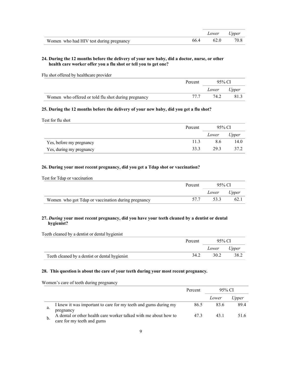|                                         |      | Lower Upper    |      |
|-----------------------------------------|------|----------------|------|
| Women who had HIV test during pregnancy | 66.4 | $-4$ 62.0 $-4$ | 70.8 |

# **24. During the 12 months before the delivery of your new baby, did a doctor, nurse, or other health care worker offer you a flu shot or tell you to get one?**

Flu shot offered by healthcare provider

|                                                     | Percent | 95% CI      |      |
|-----------------------------------------------------|---------|-------------|------|
|                                                     |         | Lower Upper |      |
| Women who offered or told flu shot during pregnancy | 77.7    | 74.2        | 81.3 |

### **25. During the 12 months before the delivery of your new baby, did you get a flu shot?**

Test for flu shot

|                          | Percent | 95% CI |       |
|--------------------------|---------|--------|-------|
|                          |         | Lower  | Upper |
| Yes, before my pregnancy | 11.3    | 8.6    | 14.0  |
| Yes, during my pregnancy | 33.3    | 29.3   | 37.2  |

# **26. During your most recent pregnancy, did you get a Tdap shot or vaccination?**

| Test for Tdap or vaccination                       |         |             |     |
|----------------------------------------------------|---------|-------------|-----|
|                                                    | Percent | 95% CI      |     |
|                                                    |         | Lower Upper |     |
| Women who got Tdap or vaccination during pregnancy | 57.7    | 53.3        | 62. |

# **27.** *During* **your most recent pregnancy, did you have your teeth cleaned by a dentist or dental hygienist?**

Teeth cleaned by a dentist or dental hygienist

|                                                | Percent | 95% CI |       |
|------------------------------------------------|---------|--------|-------|
|                                                |         | Lower  | Upper |
| Teeth cleaned by a dentist or dental hygienist | 34.2    | 30.2   | 38.2  |

# **28. This question is about the care of your teeth during your most recent pregnancy.**

Women's care of teeth during pregnancy

|    |                                                                  | Percent | 95% CI |       |
|----|------------------------------------------------------------------|---------|--------|-------|
|    |                                                                  |         | Lower  | Upper |
| a. | I knew it was important to care for my teeth and gums during my  | 86.5    | 83.6   | 89.4  |
|    | pregnancy                                                        |         |        |       |
|    | A dental or other health care worker talked with me about how to | 473     | 43 1   | 516   |
|    | care for my teeth and gums                                       |         |        |       |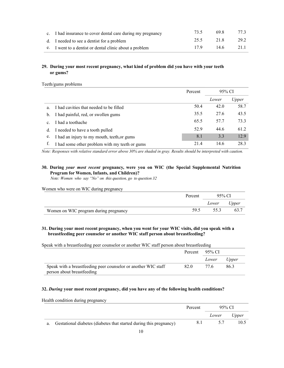| c. I had insurance to cover dental care during my pregnancy | 73.5 | 698         | 77.3 |
|-------------------------------------------------------------|------|-------------|------|
| d. I needed to see a dentist for a problem                  | 25.5 | 21.8        | 29.2 |
| e. I went to a dentist or dental clinic about a problem     | 179  | $14.6$ 21.1 |      |

# **29. During your most recent pregnancy, what kind of problem did you have with your teeth or gums?**

Teeth/gums problems

|                |                                                | Percent | 95% CI |       |
|----------------|------------------------------------------------|---------|--------|-------|
|                |                                                |         | Lower  | Upper |
| a.             | I had cavities that needed to be filled        | 50.4    | 42.0   | 58.7  |
| b.             | I had painful, red, or swollen gums            | 35.5    | 27.6   | 43.5  |
| $\mathbf{c}$ . | I had a toothache                              | 65.5    | 57.7   | 73.3  |
| d.             | I needed to have a tooth pulled                | 52.9    | 44.6   | 61.2  |
| e.             | I had an injury to my mouth, teeth, or gums    | 8.1     | 3.3    | 12.9  |
|                | I had some other problem with my teeth or gums | 21.4    | 14.6   | 28.3  |

*Note: Responses with relative standard error above 30% are shaded in gray. Results should be interpreted with caution.*

# **30. During** *your most recent* **pregnancy, were you on WIC (the Special Supplemental Nutrition Program for Women, Infants, and Children)?**

 *Note: Women who say "No" on this question, go to question 32*

| Women who were on WIC during pregnancy |         |        |       |
|----------------------------------------|---------|--------|-------|
|                                        | Percent | 95% CI |       |
|                                        |         | Lower  | Upper |
| Women on WIC program during pregnancy  | 59.5    | 55.3   | 63.7  |

# **31. During your most recent pregnancy, when you went for your WIC visits, did you speak with a breastfeeding peer counselor or another WIC staff person about breastfeeding?**

Speak with a breastfeeding peer counselor or another WIC staff person about breastfeeding

|                                                                | Percent $95\%$ CI |       |       |
|----------------------------------------------------------------|-------------------|-------|-------|
|                                                                |                   | Lower | Upper |
| Speak with a breastfeeding peer counselor or another WIC staff | 82.0              | 77.6  | 86.3  |
| person about breastfeeding                                     |                   |       |       |

#### **32.** *During* **your most recent pregnancy, did you have any of the following health conditions?**

Health condition during pregnancy

|                                                                       | Percent | 95% CI |       |
|-----------------------------------------------------------------------|---------|--------|-------|
|                                                                       |         | Lower  | Upper |
| a. Gestational diabetes (diabetes that started during this pregnancy) | 8.1     | 5.7    | 10.5  |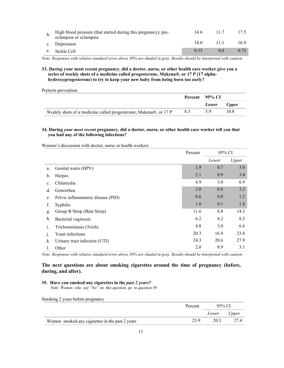| High blood pressure (that started during this pregnancy), pre-<br>eclampsia or eclampsia | 14.6 | 11.7              |      |
|------------------------------------------------------------------------------------------|------|-------------------|------|
| c. Depression                                                                            | 14.0 | 11 1              | 16.9 |
| e. Sickle Cell                                                                           | 0.35 | $\Omega$ $\Omega$ | 0.75 |

**33.** *During* **your most recent pregnancy, did a doctor, nurse, or other health care worker give you a series of weekly shots of a medicine called progesterone, Makena®, or 17 P (17 alphahydroxyprogesterone) to try to keep your new baby from being born too early?**

Preterm prevention

|                                                                  | Percent 95% CI |       |       |
|------------------------------------------------------------------|----------------|-------|-------|
|                                                                  |                | Lower | Upper |
| Weekly shots of a medicine called progesterone, Makena®, or 17 P | 8.3            | 5.9   | 10.8  |

#### **34. During** *your most recent* **pregnancy, did a doctor, nurse, or other health care worker tell you that you had any of the following infections?**

Women's discussion with doctor, nurse or health workers

|              |                                   | 95% CI<br>Percent |       |       |
|--------------|-----------------------------------|-------------------|-------|-------|
|              |                                   |                   | Lower | Upper |
| a.           | Genital warts (HPV)               | 1.9               | 0.7   | 3.0   |
| b.           | Herpes                            | 2.1               | 0.9   | 3.4   |
| c.           | Chlamydia                         | 4.9               | 3.0   | 6.9   |
| d.           | Gonorrhea                         | 2.0               | 0.8   | 3.2   |
| e.           | Pelvic inflammatory disease (PID) | 0.6               | 0.0   | 1.2   |
| f.           | Syphilis                          | 1.0               | 0.1   | 1.8   |
| g.           | Group B Strep (Beta Strep)        | 11.6              | 8.8   | 14.3  |
| h.           | Bacterial vaginosis               | 6.2               | 4.2   | 8.2   |
| 1.           | Trichomoniasis (Trich)            | 4.8               | 3.0   | 6.6   |
| $\mathbf{1}$ | Yeast infections                  | 20.3              | 16.9  | 23.8  |
| k.           | Urinary tract infection (UTI)     | 24.3              | 20.6  | 27.9  |
| l.           | Other                             | 2.0               | 0.9   | 3.1   |

*Note: Responses with relative standard error above 30% are shaded in gray. Results should be interpreted with caution.*

# **The next questions are about smoking cigarettes around the time of pregnancy (before, during, and after).**

#### **35. Have you smoked any cigarettes in the** *past 2 years***?**

 *Note: Women who say "No" on this question, go to question 39*

Smoking 2 years before pregnancy

|                                                 | Percent | 95% CI      |      |
|-------------------------------------------------|---------|-------------|------|
|                                                 |         | Lower Upper |      |
| Women smoked any cigarettes in the past 2 years | 23.9    | 20.3        | 27.4 |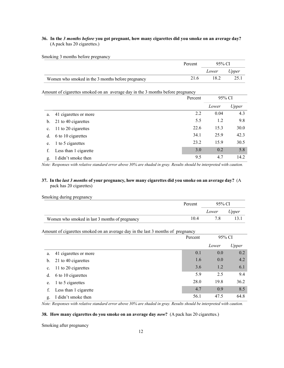# **36. In the** *3 months before* **you got pregnant, how many cigarettes did you smoke on an average day?** (A pack has 20 cigarettes.)

Smoking 3 months before pregnancy

|                                                   | Percent | 95% CI |       |
|---------------------------------------------------|---------|--------|-------|
|                                                   |         | Lower  | Upper |
| Women who smoked in the 3 months before pregnancy | 21.6    | 18.2   | 25.1  |

Amount of cigarettes smoked on an average day in the 3 months before pregnancy

|                |                       | Percent | 95% CI |       |
|----------------|-----------------------|---------|--------|-------|
|                |                       |         | Lower  | Upper |
| a.             | 41 cigarettes or more | 2.2     | 0.04   | 4.3   |
| $\mathbf{b}$ . | 21 to 40 cigarettes   | 5.5     | 1.2    | 9.8   |
| $\mathbf{c}$ . | 11 to 20 cigarettes   | 22.6    | 15.3   | 30.0  |
| d.             | 6 to 10 cigarettes    | 34.1    | 25.9   | 42.3  |
| e.             | 1 to 5 cigarettes     | 23.2    | 15.9   | 30.5  |
| f.             | Less than 1 cigarette | 3.0     | 0.2    | 5.8   |
| g.             | I didn't smoke then   | 9.5     | 4.7    | 14.2  |

*Note: Responses with relative standard error above 30% are shaded in gray. Results should be interpreted with caution.*

## **37. In the** *last 3 months* **of your pregnancy, how many cigarettes did you smoke on an average day?** (A pack has 20 cigarettes)

| Smoking during pregnancy                       |         |        |       |
|------------------------------------------------|---------|--------|-------|
|                                                | Percent | 95% CI |       |
|                                                |         | Lower  | Upper |
| Women who smoked in last 3 months of pregnancy | 104     |        |       |

Amount of cigarettes smoked on an average day in the last 3 months of pregnancy

|             |                       | Percent | 95% CI |       |
|-------------|-----------------------|---------|--------|-------|
|             |                       |         | Lower  | Upper |
| a.          | 41 cigarettes or more | 0.1     | 0.0    | 0.2   |
| b.          | 21 to 40 cigarettes   | 1.6     | 0.0    | 4.2   |
| $c_{\cdot}$ | 11 to 20 cigarettes   | 3.6     | 1.2    | 6.1   |
| d.          | 6 to 10 cigarettes    | 5.9     | 2.5    | 9.4   |
| e.          | 1 to 5 cigarettes     | 28.0    | 19.8   | 36.2  |
| f.          | Less than 1 cigarette | 4.7     | 0.9    | 8.5   |
| g.          | I didn't smoke then   | 56.1    | 47.5   | 64.8  |

*Note: Responses with relative standard error above 30% are shaded in gray. Results should be interpreted with caution.*

### **38. How many cigarettes do you smoke on an average day** *now***?** (A pack has 20 cigarettes.)

Smoking after pregnancy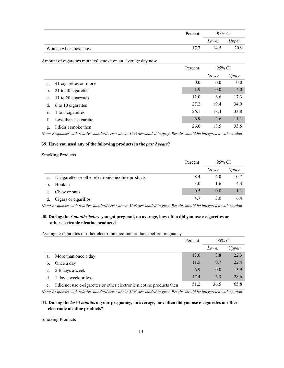|                     | Percent | 95% CI |       |
|---------------------|---------|--------|-------|
|                     |         | Lower  | Upper |
| Women who smoke now |         | 14.5   | 20.9  |

Amount of cigarettes mothers' smoke on an average day now

|                |                       | Percent | 95% CI |       |
|----------------|-----------------------|---------|--------|-------|
|                |                       |         | Lower  | Upper |
| a.             | 41 cigarettes or more | 0.0     | 0.0    | 0.0   |
| b.             | 21 to 40 cigarettes   | 1.9     | 0.0    | 4.0   |
| $\mathbf{c}$ . | 11 to 20 cigarettes   | 12.0    | 6.6    | 17.3  |
| d.             | 6 to 10 cigarettes    | 27.2    | 19.4   | 34.9  |
| e.             | 1 to 5 cigarettes     | 26.1    | 18.4   | 33.8  |
| f.             | Less than 1 cigarette | 6.9     | 2.6    | 11.1  |
| g.             | I didn't smoke then   | 26.0    | 18.5   | 33.5  |

*Note: Responses with relative standard error above 30% are shaded in gray. Results should be interpreted with caution.*

# **39. Have you used any of the following products in the** *past 2 years***?**

#### Smoking Products

|             |                                                    | Percent | 95% CI |       |
|-------------|----------------------------------------------------|---------|--------|-------|
|             |                                                    |         | Lower  | Upper |
| a.          | E-cigarettes or other electronic nicotine products | 8.4     | 6.0    | 10.7  |
| b.          | Hookah                                             | 3.0     | 1.6    | 4.3   |
| $c_{\cdot}$ | Chew or snus                                       | 0.5     | 0.0    | 1.1   |
| d.          | Cigars or cigarillos                               | 4.7     | 3.0    | 6.4   |

*Note: Responses with relative standard error above 30% are shaded in gray. Results should be interpreted with caution.*

# **40. During the** *3 months before* **you got pregnant, on average, how often did you use e-cigarettes or other electronic nicotine products?**

#### Average e-cigarettes or other electronic nicotine products before pregnancy

|               |                                                                       | Percent | 95% CI |       |
|---------------|-----------------------------------------------------------------------|---------|--------|-------|
|               |                                                                       |         | Lower  | Upper |
| a.            | More than once a day                                                  | 13.0    | 3.8    | 22.3  |
| $\mathbf b$ . | Once a day                                                            | 11.5    | 0.7    | 22.4  |
| $c_{\cdot}$   | 2-6 days a week                                                       | 6.9     | 0.0    | 13.9  |
| d.            | 1 day a week or less                                                  | 17.4    | 6.3    | 28.6  |
| e.            | I did not use e-cigarettes or other electronic nicotine products then | 51.2    | 36.5   | 65.8  |

*Note: Responses with relative standard error above 30% are shaded in gray. Results should be interpreted with caution.*

### **41. During the** *last 3 months* **of your pregnancy, on average, how often did you use e-cigarettes or other electronic nicotine products?**

Smoking Products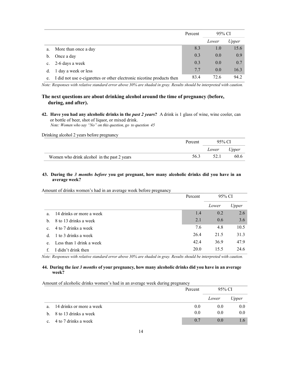|    |                                                                       | Percent | 95% CI |       |
|----|-----------------------------------------------------------------------|---------|--------|-------|
|    |                                                                       |         | Lower  | Upper |
| a. | More than once a day                                                  | 8.3     | 1.0    | 15.6  |
| b. | Once a day                                                            | 0.3     | 0.0    | 0.9   |
|    | c. 2-6 days a week                                                    | 0.3     | 0.0    | 0.7   |
| d. | 1 day a week or less                                                  | 7.7     | 0.0    | 16.3  |
| e. | I did not use e-cigarettes or other electronic nicotine products then | 83.4    | 72.6   | 94.2  |

# **The next questions are about drinking alcohol around the time of pregnancy (before, during, and after).**

**42. Have you had any alcoholic drinks in the** *past 2 years***?** A drink is 1 glass of wine, wine cooler, can or bottle of beer, shot of liquor, or mixed drink.  *Note: Women who say "No" on this question, go to question 45*

Drinking alcohol 2 years before pregnancy

|                                             | Percent | 95% CI |       |
|---------------------------------------------|---------|--------|-------|
|                                             |         | Lower  | Upper |
| Women who drink alcohol in the past 2 years | 56.3    | 52.1   | 60.6  |

# **43. During the** *3 months before* **you got pregnant, how many alcoholic drinks did you have in an average week?**

#### Amount of drinks women's had in an average week before pregnancy

|                |                          | Percent | 95% CI |       |
|----------------|--------------------------|---------|--------|-------|
|                |                          |         | Lower  | Upper |
| a.             | 14 drinks or more a week | 1.4     | 0.2    | 2.6   |
| $h_{\cdot}$    | 8 to 13 drinks a week    | 2.1     | 0.6    | 3.6   |
| $\mathbf{c}$ . | 4 to 7 drinks a week     | 7.6     | 4.8    | 10.5  |
| d.             | 1 to 3 drinks a week     | 26.4    | 21.5   | 31.3  |
| e.             | Less than 1 drink a week | 42.4    | 36.9   | 47.9  |
|                | I didn't drink then      | 20.0    | 15.5   | 24.6  |

*Note: Responses with relative standard error above 30% are shaded in gray. Results should be interpreted with caution.*

#### **44. During the** *last 3 months* **of your pregnancy, how many alcoholic drinks did you have in an average week?**

#### Amount of alcoholic drinks women's had in an average week during pregnancy

|             |                          | Percent | 95% CI |       |
|-------------|--------------------------|---------|--------|-------|
|             |                          |         | Lower  | Upper |
| a.          | 14 drinks or more a week | 0.0     | 0.0    | 0.0   |
|             | b. 8 to 13 drinks a week | 0.0     | 0.0    | 0.0   |
| $c_{\cdot}$ | 4 to 7 drinks a week     | 0.7     | (0.0)  |       |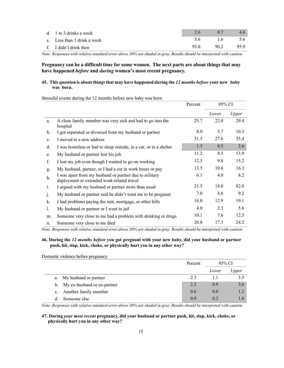| d. 1 to 3 drinks a week     | $-2.6$ $-$ | $\sim$ 0.7 $\sim$ | $4.6^{\circ}$ |
|-----------------------------|------------|-------------------|---------------|
| e. Less than 1 drink a week |            | 3.6 1.6 5.6       |               |
| f. I didn't drink then      | 93.0       |                   | 90.2 95.9     |

# **Pregnancy can be a difficult time for some women. The next parts are about things that may have happened** *before* **and** *during* **women's most recent pregnancy.**

# **45. This question is about thingsthat may have happened during the** *12 months before* **your new baby was born.**

Stressful events during the 12 months before new baby was born

|                |                                                                                                      | Percent | 95% CI |       |
|----------------|------------------------------------------------------------------------------------------------------|---------|--------|-------|
|                |                                                                                                      |         | Lower  | Upper |
| a.             | A close family member was very sick and had to go into the<br>hospital                               | 25.7    | 22.0   | 29.4  |
| $\mathbf{b}$ . | I got separated or divorced from my husband or partner                                               | 8.0     | 5.7    | 10.3  |
| c.             | I moved to a new address                                                                             | 31.5    | 27.6   | 35.4  |
| d.             | I was homeless or had to sleep outside, in a car, or in a shelter                                    | 1.5     | 0.5    | 2.6   |
| e.             | My husband or partner lost his job                                                                   | 11.2    | 8.5    | 13.9  |
| f.             | I lost my job even though I wanted to go on working                                                  | 12.5    | 9.8    | 15.2  |
| g.             | My husband, partner, or I had a cut in work hours or pay                                             | 13.5    | 10.6   | 16.3  |
| h.             | I was apart from my husband or partner due to military<br>deployment or extended work-related travel | 6.1     | 4.0    | 8.2   |
| 1.             | I argued with my husband or partner more than usual                                                  | 21.5    | 18.0   | 82.0  |
| $\cdot$        | My husband or partner said he didn't want me to be pregnant                                          | 7.0     | 4.8    | 9.2   |
| k.             | I had problems paying the rent, mortgage, or other bills                                             | 16.0    | 12.9   | 19.1  |
| 1.             | My husband or partner or I went to jail                                                              | 4.0     | 2.3    | 5.6   |
| m.             | Someone very close to me had a problem with drinking or drugs                                        | 10.1    | 7.6    | 12.5  |
| n.             | Someone very close to me died                                                                        | 20.8    | 17.3   | 24.2  |

*Note: Responses with relative standard error above 30% are shaded in gray. Results should be interpreted with caution.*

# **46. During the** *12 months before* **you got pregnant with your new baby, did your husband or partner push, hit, slap, kick, choke, or physically hurt you in any other way?**

Domestic violence before pregnancy

|                                | Percent | 95% CI |       |
|--------------------------------|---------|--------|-------|
|                                |         | Lower  | Upper |
| a. My husband or partner       | 2.3     |        | 3.5   |
| b. My ex-husband or ex-partner | 2.2     | 0.9    | 3.6   |
| c. Another family member       | 0.6     | (0.0)  |       |
| Someone else                   | 0.9     | 02     |       |

*Note: Responses with relative standard error above 30% are shaded in gray. Results should be interpreted with caution.*

# **47. During** *your most recent* **pregnancy, did your husband or partner push, hit, slap, kick, choke, or physically hurt you in any other way?**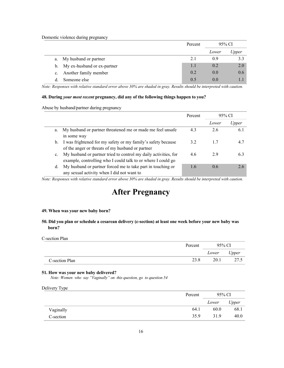Domestic violence during pregnancy

|             |                                | Percent | 95% CI |       |
|-------------|--------------------------------|---------|--------|-------|
|             |                                |         | Lower  | Upper |
|             | a. My husband or partner       | 2.1     | 0.9    | 3.3   |
|             | b. My ex-husband or ex-partner | 1.1     | 0.2    | 2.0   |
| $c_{\cdot}$ | Another family member          | 0.2     | (0.0)  | 0.6   |
|             | Someone else                   | 0.5     | 0.0    |       |

*Note: Responses with relative standard error above 30% are shaded in gray. Results should be interpreted with caution.*

### **48. During** *your most recent* **pregnancy, did any of the following things happen to you?**

Abuse by husband/partner during pregnancy

|                |                                                                                                                                 | Percent | 95% CI |       |
|----------------|---------------------------------------------------------------------------------------------------------------------------------|---------|--------|-------|
|                |                                                                                                                                 |         | Lower  | Upper |
| a.             | My husband or partner threatened me or made me feel unsafe<br>in some way                                                       | 4.3     | 2.6    | 6.1   |
| b.             | I was frightened for my safety or my family's safety because<br>of the anger or threats of my husband or partner                | 3.2     | 1.7    | 4.7   |
| $\mathbf{c}$ . | My husband or partner tried to control my daily activities, for<br>example, controlling who I could talk to or where I could go | 4.6     | 29     | 6.3   |
| d.             | My husband or partner forced me to take part in touching or<br>any sexual activity when I did not want to                       | 1.6     | 0.6    | 2.6   |

*Note: Responses with relative standard error above 30% are shaded in gray. Results should be interpreted with caution.*

# **After Pregnancy**

#### **49. When was your new baby born?**

# **50. Did you plan or schedule a cesarean delivery (c-section) at least one week before your new baby was born?**

C-section Plan

|                | Percent | 95% CI |       |
|----------------|---------|--------|-------|
|                |         | Lower  | Upper |
| C-section Plan | 23.8    | 20.1   | 27.5  |

#### **51. How was your new baby delivered?**

 *Note: Women who say "Vaginally" on this question, go to question 54*

| Delivery Type |  |
|---------------|--|
|               |  |
|               |  |

|           | Percent | 95% CI |       |
|-----------|---------|--------|-------|
|           |         | Lower  | Upper |
| Vaginally | 64.1    | 60.0   | 68.1  |
| C-section | 35.9    | 31.9   | 40.0  |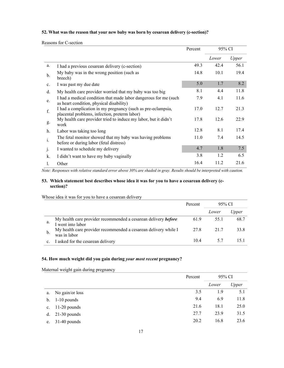# **52. What was the reason that your new baby was born by cesarean delivery (c-section)?**

Reasons for C-section

|                |                                                                                                               | Percent | 95% CI |       |
|----------------|---------------------------------------------------------------------------------------------------------------|---------|--------|-------|
|                |                                                                                                               |         | Lower  | Upper |
| a.             | I had a previous cesarean delivery (c-section)                                                                | 49.3    | 42.4   | 56.1  |
| $\mathbf{b}$ . | My baby was in the wrong position (such as<br>breech)                                                         | 14.8    | 10.1   | 19.4  |
| $\mathbf{c}$ . | I was past my due date                                                                                        | 5.0     | 1.7    | 8.2   |
| d.             | My health care provider worried that my baby was too big                                                      | 8.1     | 4.4    | 11.8  |
| e.             | I had a medical condition that made labor dangerous for me (such<br>as heart condition, physical disability)  | 7.9     | 4.1    | 11.6  |
| f.             | I had a complication in my pregnancy (such as pre-eclampsia,<br>placental problems, infection, preterm labor) | 17.0    | 12.7   | 21.3  |
| g.             | My health care provider tried to induce my labor, but it didn't<br>work                                       | 17.8    | 12.6   | 22.9  |
| h.             | Labor was taking too long                                                                                     | 12.8    | 8.1    | 17.4  |
| $\mathbf{i}$ . | The fetal monitor showed that my baby was having problems<br>before or during labor (fetal distress)          | 11.0    | 7.4    | 14.5  |
| $\cdot$        | I wanted to schedule my delivery                                                                              | 4.7     | 1.8    | 7.5   |
| k.             | I didn't want to have my baby vaginally                                                                       | 3.8     | 1.2    | 6.5   |
|                | Other                                                                                                         | 16.4    | 11.2   | 21.6  |

*Note: Responses with relative standard error above 30% are shaded in gray. Results should be interpreted with caution.*

#### **53. Which statement best describes whose idea it was for you to have a cesarean delivery (csection)?**

Whose idea it was for you to have a cesarean delivery

|    |                                                                                     | Percent | 95% CI |       |
|----|-------------------------------------------------------------------------------------|---------|--------|-------|
|    |                                                                                     |         | Lower  | Upper |
| a. | My health care provider recommended a cesarean delivery before<br>I went into labor | 61.9    | 55.1   | 68.7  |
| b. | My health care provider recommended a cesarean delivery while I<br>was in labor     | 27.8    | 21.7   | 33.8  |
|    | I asked for the cesarean delivery                                                   | 10.4    |        |       |

# **54. How much weight did you gain during** *your most recent* **pregnancy?**

Maternal weight gain during pregnancy

|                |                   | Percent |       | 95% CI |  |
|----------------|-------------------|---------|-------|--------|--|
|                |                   |         | Lower | Upper  |  |
| a.             | No gain/or loss   | 3.5     | 1.9   | 5.1    |  |
| $\mathbf{b}$ . | 1-10 pounds       | 9.4     | 6.9   | 11.8   |  |
|                | c. $11-20$ pounds | 21.6    | 18.1  | 25.0   |  |
| d.             | $21-30$ pounds    | 27.7    | 23.9  | 31.5   |  |
| e.             | $31-40$ pounds    | 20.2    | 16.8  | 23.6   |  |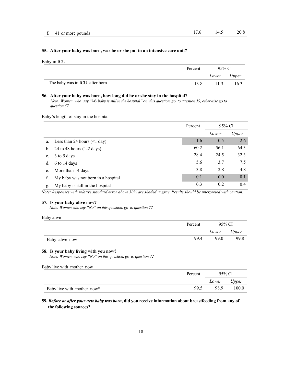#### **55. After your baby was born, was he or she put in an intensive care unit?**

Baby in ICU

|                                | Percent | 95% CI      |      |
|--------------------------------|---------|-------------|------|
|                                |         | Lower Upper |      |
| The baby was in ICU after born |         | 11.3        | 16.3 |

#### **56. After your baby was born, how long did he or she stay in the hospital?**

 *Note: Women who say "My baby is still in the hospital" on this question, go to question 59, otherwise go to question 57*

Baby's length of stay in the hospital

|                |                                        | Percent | 95% CI |       |
|----------------|----------------------------------------|---------|--------|-------|
|                |                                        |         | Lower  | Upper |
| a.             | Less than 24 hours $(\leq 1$ day)      | 1.6     | 0.5    | 2.6   |
|                | b. 24 to 48 hours $(1-2 \text{ days})$ | 60.2    | 56.1   | 64.3  |
| $\mathbf{c}$ . | 3 to 5 days                            | 28.4    | 24.5   | 32.3  |
| d.             | 6 to 14 days                           | 5.6     | 3.7    | 7.5   |
| e.             | More than 14 days                      | 3.8     | 2.8    | 4.8   |
|                | My baby was not born in a hospital     | 0.1     | 0.0    | 0.1   |
| g.             | My baby is still in the hospital       | 0.3     | 0.2    | 0.4   |

*Note: Responses with relative standard error above 30% are shaded in gray. Results should be interpreted with caution.*

#### **57. Is your baby alive now?**

 *Note: Women who say "No" on this question, go to question 72*

Baby alive

|                | Percent | 95% CI |       |
|----------------|---------|--------|-------|
|                |         | Lower  | Upper |
| Baby alive now | 99.4    | 99.0   | 99.8  |

#### **58. Is your baby living with you now?**

 *Note: Women who say "No" on this question, go to question 72*

| Baby live with mother now  |         |             |       |
|----------------------------|---------|-------------|-------|
|                            | Percent | 95% CL      |       |
|                            |         | Lower Upper |       |
| Baby live with mother now* | 99.5    | 98.9        | 100.0 |

**59.** *Before or after your new baby was born***, did you receive information about breastfeeding from any of the following sources?**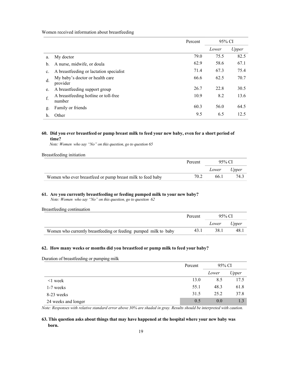Women received information about breastfeeding

|    |                                                | Percent | 95% CI |       |
|----|------------------------------------------------|---------|--------|-------|
|    |                                                |         | Lower  | Upper |
| a. | My doctor                                      | 79.0    | 75.5   | 82.5  |
| b. | A nurse, midwife, or doula                     | 62.9    | 58.6   | 67.1  |
| c. | A breastfeeding or lactation specialist        | 71.4    | 67.3   | 75.4  |
| d. | My baby's doctor or health care<br>provider    | 66.6    | 62.5   | 70.7  |
| e. | A breastfeeding support group                  | 26.7    | 22.8   | 30.5  |
| f. | A breastfeeding hotline or toll-free<br>number | 10.9    | 8.2    | 13.6  |
| g. | Family or friends                              | 60.3    | 56.0   | 64.5  |
| h. | Other                                          | 9.5     | 6.5    | 12.5  |

#### **60. Did you ever breastfeed or pump breast milk to feed your new baby, even for a short period of time?**

 *Note: Women who say "No" on this question, go to question 65*

Breastfeeding initiation

|                                                            | Percent | 95% CI      |      |
|------------------------------------------------------------|---------|-------------|------|
|                                                            |         | Lower Upper |      |
| Women who ever breastfeed or pump breast milk to feed baby | 70.2    | 66.1        | 74.3 |

#### **61. Are you currently breastfeeding or feeding pumped milk to your new baby?**

 *Note: Women who say "No" on this question, go to question 62*

Breastfeeding continuation

|                                                                  | Percent | 95% CL      |      |
|------------------------------------------------------------------|---------|-------------|------|
|                                                                  |         | Lower Upper |      |
| Women who currently breastfeeding or feeding pumped milk to baby | 43.1    | 38.1        | 48.1 |

#### **62. How many weeks or months did you breastfeed or pump milk to feed your baby?**

Duration of breastfeeding or pumping milk

|                     | Percent | 95% CI |       |
|---------------------|---------|--------|-------|
|                     |         | Lower  | Upper |
| $\leq$ week         | 13.0    | 8.5    | 17.5  |
| 1-7 weeks           | 55.1    | 48.3   | 61.8  |
| 8-23 weeks          | 31.5    | 25.2   | 37.8  |
| 24 weeks and longer | 0.5     | 0.0    | 1.3   |

*Note: Responses with relative standard error above 30% are shaded in gray. Results should be interpreted with caution.*

# **63. This question asks about things that may have happened at the hospital where your new baby was born.**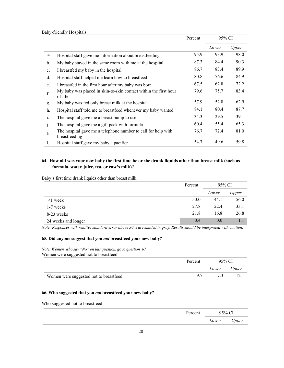|                |                                                                                | Percent | 95% CI |       |
|----------------|--------------------------------------------------------------------------------|---------|--------|-------|
|                |                                                                                |         | Lower  | Upper |
| a.             | Hospital staff gave me information about breastfeeding                         | 95.9    | 93.9   | 98.0  |
| $\mathbf{b}$ . | My baby stayed in the same room with me at the hospital                        | 87.3    | 84.4   | 90.3  |
| $\mathbf{c}$ . | I breastfed my baby in the hospital                                            | 86.7    | 83.4   | 89.9  |
| d.             | Hospital staff helped me learn how to breastfeed                               | 80.8    | 76.6   | 84.9  |
| e.             | I breastfed in the first hour after my baby was born                           | 67.5    | 62.8   | 72.2  |
| f.             | My baby was placed in skin-to-skin contact within the first hour<br>of life    | 79.6    | 75.7   | 83.4  |
| g.             | My baby was fed only breast milk at the hospital                               | 57.9    | 52.8   | 62.9  |
| h.             | Hospital staff told me to breastfeed whenever my baby wanted                   | 84.1    | 80.4   | 87.7  |
| 1.             | The hospital gave me a breast pump to use                                      | 34.3    | 29.5   | 39.1  |
| $\mathbf{1}$   | The hospital gave me a gift pack with formula                                  | 60.4    | 55.4   | 65.3  |
| k.             | The hospital gave me a telephone number to call for help with<br>breastfeeding | 76.7    | 72.4   | 81.0  |
| 1.             | Hospital staff gave my baby a pacifier                                         | 54.7    | 49.6   | 59.8  |

# 64. How old was your new baby the first time he or she drank liquids other than breast milk (such as **formula, water, juice, tea, or cow's milk)?**

Baby's first time drank liquids other than breast milk

|                     | Percent |       | 95% CI |  |
|---------------------|---------|-------|--------|--|
|                     |         | Lower | Upper  |  |
| $\leq$ week         | 50.0    | 44.1  | 56.0   |  |
| 1-7 weeks           | 27.8    | 22.4  | 33.1   |  |
| 8-23 weeks          | 21.8    | 16.8  | 26.8   |  |
| 24 weeks and longer | 0.4     | 0.0   |        |  |

*Note: Responses with relative standard error above 30% are shaded in gray. Results should be interpreted with caution.*

### **65. Did anyone suggest that you** *not* **breastfeed your new baby?**

*Note: Women who say "No" on this question, go to question 67* Women were suggested not to breastfeed

|                                        | Percent | 95% CI |       |
|----------------------------------------|---------|--------|-------|
|                                        |         | Lower  | Upper |
| Women were suggested not to breastfeed |         |        |       |

### **66. Who suggested that you** *not* **breastfeed your new baby?**

Who suggested not to breastfeed

| Percent | 95% CI |       |
|---------|--------|-------|
|         | Lower  | Upper |
|         |        |       |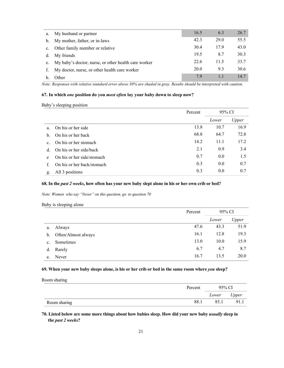| a. | My husband or partner                                   | 16.5 | 6.3  | 26.7 |
|----|---------------------------------------------------------|------|------|------|
|    | b. My mother, father, or in-laws                        | 42.3 | 29.0 | 55.5 |
|    | c. Other family member or relative                      | 30.4 | 17.9 | 43.0 |
| d. | My friends                                              | 19.5 | 8.7  | 30.3 |
|    | e. My baby's doctor, nurse, or other health care worker | 22.6 | 11.5 | 33.7 |
|    | My doctor, nurse, or other health care worker           | 20.0 | 9.3  | 30.6 |
|    | Other                                                   | 79   |      | 14.7 |

#### **67. In which** *one* **position do you** *most often* **lay your baby down to sleep now?**

|  | Baby's sleeping positior |
|--|--------------------------|

|                |                            | Percent | 95% CI |       |
|----------------|----------------------------|---------|--------|-------|
|                |                            |         | Lower  | Upper |
| a.             | On his or her side         | 13.8    | 10.7   | 16.9  |
| b.             | On his or her back         | 68.8    | 64.7   | 72.8  |
| $\mathbf{c}$ . | On his or her stomach      | 14.2    | 11.1   | 17.2  |
| d.             | On his or her side/back    | 2.1     | 0.9    | 3.4   |
| e              | On his or her side/stomach | 0.7     | 0.0    | 1.5   |
| f.             | On his or her back/stomach | 0.3     | 0.0    | 0.7   |
| g.             | All 3 positions            | 0.3     | 0.0    | 0.7   |

### **68. In the** *past 2 weeks***, how often has your new baby slept alone in his or her own crib or bed?**

*Note: Women who say "Never" on this question, go to question 70*

Baby is sleeping alone

|    |                     | Percent | 95% CI |       |
|----|---------------------|---------|--------|-------|
|    |                     |         | Lower  | Upper |
| a. | Always              | 47.6    | 43.3   | 51.9  |
| b. | Often/Almost always | 16.1    | 12.8   | 19.3  |
| c. | Sometimes           | 13.0    | 10.0   | 15.9  |
| d. | Rarely              | 6.7     | 4.7    | 8.7   |
| e. | Never               | 16.7    | 13.5   | 20.0  |

## **69. When your new baby sleeps alone, is his or her crib or bed in the same room where** *you* **sleep?**

Room sharing

|              | Percent | 95% CI |       |
|--------------|---------|--------|-------|
|              |         | Lower  | Upper |
| Room sharing | 88.1    | 85.1   | 91.1  |

**70. Listed below are some more things about how babies sleep. How did your new baby** *usually* **sleep in the** *past 2 weeks***?**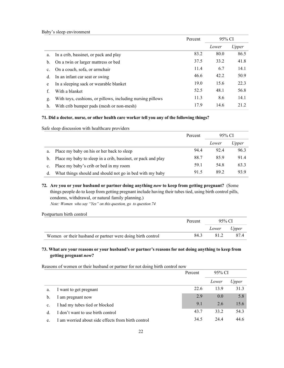|    |                                                            | Percent | 95% CI |       |
|----|------------------------------------------------------------|---------|--------|-------|
|    |                                                            |         | Lower  | Upper |
| a. | In a crib, bassinet, or pack and play                      | 83.2    | 80.0   | 86.5  |
| b. | On a twin or larger mattress or bed                        | 37.5    | 33.2   | 41.8  |
| c. | On a couch, sofa, or armchair                              | 11.4    | 6.7    | 14.1  |
| d. | In an infant car seat or swing                             | 46.6    | 42.2   | 50.9  |
| e  | In a sleeping sack or wearable blanket                     | 19.0    | 15.6   | 22.3  |
| f. | With a blanket                                             | 52.5    | 48.1   | 56.8  |
| g. | With toys, cushions, or pillows, including nursing pillows | 11.3    | 8.6    | 14.1  |
| h. | With crib bumper pads (mesh or non-mesh)                   | 17.9    | 14.6   | 21.2  |

## **71. Did a doctor, nurse, or other health care worker tell you any of the following things?**

Safe sleep discussion with healthcare providers

|         |                                                              | Percent | 95% CI |              |
|---------|--------------------------------------------------------------|---------|--------|--------------|
|         |                                                              |         | Lower  | <i>Upper</i> |
| a.      | Place my baby on his or her back to sleep                    | 94.4    | 92.4   | 96.3         |
| $b_{1}$ | Place my baby to sleep in a crib, bassinet, or pack and play | 88.7    | 85.9   | 91.4         |
| c.      | Place my baby's crib or bed in my room                       | 59.1    | 54.8   | 63.3         |
| d.      | What things should and should not go in bed with my baby     | 91.5    | 89.2   | 93.9         |

**72. Are you or your husband or partner doing anything** *now* **to keep from getting pregnant?** (Some things people do to keep from getting pregnant include having their tubes tied, using birth control pills, condoms, withdrawal, or natural family planning.)  *Note: Women who say "Yes" on this question, go to question 74*

Postpartum birth control

|                                                            | Percent | 95% CI      |     |
|------------------------------------------------------------|---------|-------------|-----|
|                                                            |         | Lower Upper |     |
| Women or their husband or partner were doing birth control | 84.3    | 81.2        | 874 |

# **73. What are your reasons or your husband's or partner's reasons for not doing anything to keep from getting pregnant** *now***?**

Reasons of women or their husband or partner for not doing birth control now

|    |                                                    | Percent | 95% CI |       |
|----|----------------------------------------------------|---------|--------|-------|
|    |                                                    |         | Lower  | Upper |
| a. | I want to get pregnant                             | 22.6    | 13.9   | 31.3  |
| b. | I am pregnant now                                  | 2.9     | 0.0    | 5.8   |
| c. | I had my tubes tied or blocked                     | 9.1     | 2.6    | 15.6  |
| d. | I don't want to use birth control                  | 43.7    | 33.2   | 54.3  |
| e. | I am worried about side effects from birth control | 34.5    | 24.4   | 44.6  |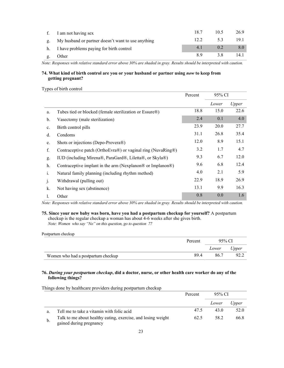| f. I am not having sex                                | 18.7  | 10.5 | 26.9 |
|-------------------------------------------------------|-------|------|------|
| g. My husband or partner doesn't want to use anything | 12.2. | 53   | 19.1 |
| h. I have problems paying for birth control           | 4.1   | 02   |      |
| Other                                                 | 89    |      | 14.1 |

# **74. What kind of birth control are you or your husband or partner using** *now* **to keep from getting pregnant?**

#### Types of birth control

Postpartum checkup

|                |                                                              | Percent | 95% CI |       |
|----------------|--------------------------------------------------------------|---------|--------|-------|
|                |                                                              |         | Lower  | Upper |
| a.             | Tubes tied or blocked (female sterilization or Essure®)      | 18.8    | 15.0   | 22.6  |
| b.             | Vasectomy (male sterilization)                               | 2.4     | 0.1    | 4.0   |
| c.             | Birth control pills                                          | 23.9    | 20.0   | 27.7  |
| d.             | Condoms                                                      | 31.1    | 26.8   | 35.4  |
| e.             | Shots or injections (Depo-Provera®)                          | 12.0    | 8.9    | 15.1  |
| f.             | Contraceptive patch (OrthoEvra®) or vaginal ring (NuvaRing®) | 3.2     | 1.7    | 4.7   |
| g.             | IUD (including Mirena®, ParaGard®, Liletta®, or Skyla®)      | 9.3     | 6.7    | 12.0  |
| h.             | Contraceptive implant in the arm (Nexplanon® or Implanon®)   | 9.6     | 6.8    | 12.4  |
| $\mathbf{i}$ . | Natural family planning (including rhythm method)            | 4.0     | 2.1    | 5.9   |
| $\cdot$        | Withdrawal (pulling out)                                     | 22.9    | 18.9   | 26.9  |
| k.             | Not having sex (abstinence)                                  | 13.1    | 9.9    | 16.3  |
| l.             | Other                                                        | 0.8     | 0.0    | 1.6   |

*Note: Responses with relative standard error above 30% are shaded in gray. Results should be interpreted with caution.*

#### **75. Since your new baby was born, have you had a postpartum checkup for yourself?** A postpartum checkup is the regular checkup a woman has about 4-6 weeks after she gives birth. *Note: Women who say "No" on this question, go to question 77*

|                                    | Percent | 95% CI |       |
|------------------------------------|---------|--------|-------|
|                                    |         | Lower  | Upper |
| Women who had a postpartum checkup | 894     | 86.7   |       |

#### **76.** *During your postpartum checkup***, did a doctor, nurse, or other health care worker do any of the following things?**

Percent 95% CI *Lower Upper* a. Tell me to take a vitamin with folic acid 47.5 43.0 52.0 b. Talk to me about healthy eating, exercise, and losing weight gained during pregnancy 62.5 58.2 66.8

Things done by healthcare providers during postpartum checkup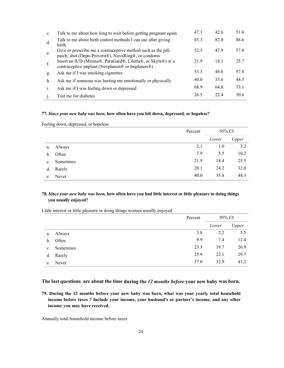| $\mathbf{c}$ . | Talk to me about how long to wait before getting pregnant again                                                     | 47.1 | 42.6 | 51.6 |
|----------------|---------------------------------------------------------------------------------------------------------------------|------|------|------|
| d.             | Talk to me about birth control methods I can use after giving<br>birth                                              | 85.3 | 82.0 | 88.6 |
| e.             | Give or prescribe me a contraceptive method such as the pill,<br>patch, shot (Depo-Provera®), NuvaRing®, or condoms | 52.5 | 47.9 | 57.0 |
| f.             | Insert an IUD (Mirena®, ParaGard®, Liletta®, or Skyla®) or a<br>contraceptive implant (Nexplanon® or Implanon®)     | 21.9 | 18.1 | 25.7 |
| g.             | Ask me if I was smoking cigarettes                                                                                  | 53.3 | 48.8 | 57.8 |
| h.             | Ask me if someone was hurting me emotionally or physically                                                          | 40.0 | 35.6 | 44.5 |
| i.             | Ask me if I was feeling down or depressed                                                                           | 68.9 | 64.8 | 73.1 |
|                | Test me for diabetes                                                                                                | 26.5 | 22.4 | 30.6 |

#### **77.** *Since your new baby was born***, how often have you felt down, depressed, or hopeless?**

Feeling down, depressed, or hopeless

|                |           | Percent | 95% CI |       |
|----------------|-----------|---------|--------|-------|
|                |           |         | Lower  | Upper |
| a.             | Always    | 2.1     | 1.0    | 3.2   |
| b.             | Often     | 7.9     | 5.5    | 10.2  |
| $\mathbf{c}$ . | Sometimes | 21.9    | 18.4   | 25.5  |
| d.             | Rarely    | 28.1    | 24.2   | 32.0  |
| e              | Never     | 40.0    | 35.8   | 44.3  |

# **78.** *Since your new baby was born,* **how often have you had little interest or little pleasure in doing things you usually enjoyed?**

Little interest or little pleasure in doing things women usually enjoyed

|             |           | Percent | 95% CI |       |
|-------------|-----------|---------|--------|-------|
|             |           |         | Lower  | Upper |
| a.          | Always    | 3.8     | 2.2    | 5.5   |
| b.          | Often     | 9.9     | 7.4    | 12.4  |
| $c_{\cdot}$ | Sometimes | 23.3    | 19.7   | 26.9  |
|             | d. Rarely | 25.9    | 22.1   | 29.7  |
| e           | Never     | 37.0    | 32.9   | 41.2  |

# **The last questions are about the time during the** *12 months before* **your new baby was born.**

**79. During the 12 months before your new baby was born, what was your yearly total household income before taxes ? Include your income, your husband's or partner's income, and any other income you may have received.** 

Annually total household income before taxes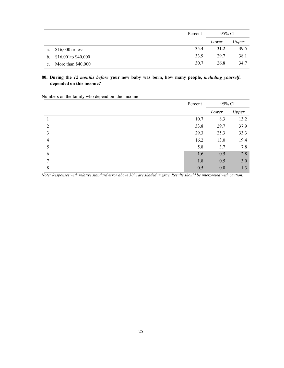|                |                      | Percent | 95% CI |       |
|----------------|----------------------|---------|--------|-------|
|                |                      |         | Lower  | Upper |
| a.             | $$16,000$ or less    | 35.4    | 31.2   | 39.5  |
| $\mathbf{b}$ . | \$16,001 to \$40,000 | 33.9    | 29.7   | 38.1  |
| $\mathbf{c}$ . | More than $$40,000$  | 30.7    | 26.8   | 34.7  |

# **80. During the** *12 months before* **your new baby was born, how many people,** *including yourself***, depended on this income?**

Numbers on the family who depend on the income

|                | Percent | 95% CI |       |
|----------------|---------|--------|-------|
|                |         | Lower  | Upper |
|                | 10.7    | 8.3    | 13.2  |
| $\mathcal{D}$  | 33.8    | 29.7   | 37.9  |
| 3              | 29.3    | 25.3   | 33.3  |
| $\overline{4}$ | 16.2    | 13.0   | 19.4  |
| 5              | 5.8     | 3.7    | 7.8   |
| 6              | 1.6     | 0.5    | 2.8   |
| 7              | 1.8     | 0.5    | 3.0   |
| 8              | 0.5     | 0.0    | 1.3   |

*Note: Responses with relative standard error above 30% are shaded in gray. Results should be interpreted with caution.*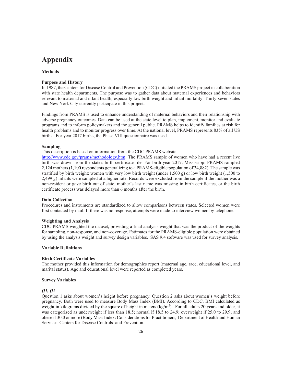# **Appendix**

# **Methods**

#### **Purpose and History**

In 1987, the Centers for Disease Control and Prevention (CDC) initiated the PRAMS project in collaboration with state health departments. The purpose was to gather data about maternal experiences and behaviors relevant to maternal and infant health, especially low birth weight and infant mortality. Thirty-seven states and New York City currently participate in this project.

Findings from PRAMS is used to enhance understanding of maternal behaviors and their relationship with adverse pregnancy outcomes. Data can be used at the state level to plan, implement, monitor and evaluate programs and to inform policymakers and the general public. PRAMS helps to identify families at risk for health problems and to monitor progress over time. At the national level, PRAMS represents 83% of all US births. For year 2017 births, the Phase VIII questionnaire was used.

#### **Sampling**

This description is based on information from the CDC PRAMS website

[http://www.cdc.gov/prams/methodology.htm.](http://www.cdc.gov/prams/methodology.htm) The PRAMS sample of women who have had a recent live birth was drawn from the state's birth certificate file. For birth year 2017, Mississippi PRAMS sampled 2,124 mothers (1,100 respondents generalizing to a PRAMS-eligible population of 34,882). The sample was stratified by birth weight: women with very low birth weight (under 1,500 g) or low birth weight (1,500 to 2,499 g) infants were sampled at a higher rate. Records were excluded from the sample if the mother was a non-resident or gave birth out of state, mother's last name was missing in birth certificates, or the birth certificate process was delayed more than 6 months after the birth.

#### **Data Collection**

Procedures and instruments are standardized to allow comparisons between states. Selected women were first contacted by mail. If there was no response, attempts were made to interview women by telephone.

#### **Weighting and Analysis**

CDC PRAMS weighted the dataset, providing a final analysis weight that was the product of the weights for sampling, non-response, and non-coverage. Estimates for the PRAMS-eligible population were obtained by using the analysis weight and survey design variables. SAS 9.4 software was used for survey analysis.

#### **Variable Definitions**

#### **Birth Certificate Variables**

The mother provided this information for demographics report (maternal age, race, educational level, and marital status). Age and educational level were reported as completed years.

#### **Survey Variables**

#### *Q1, Q2*

Question 1 asks about women's height before pregnancy. Question 2 asks about women's weight before pregnancy. Both were used to measure Body Mass Index (BMI). According to CDC, BMI calculated as weight in kilograms divided by the square of height in meters (kg/m<sup>2</sup>). For all adults 20 years and older, it was categorized as underweight if less than 18.5; normal if 18.5 to 24.9; overweight if 25.0 to 29.9; and obese if 30.0 or more (Body Mass Index: Considerations for Practitioners, Department of Health and Human Services Centers for Disease Controls and Prevention.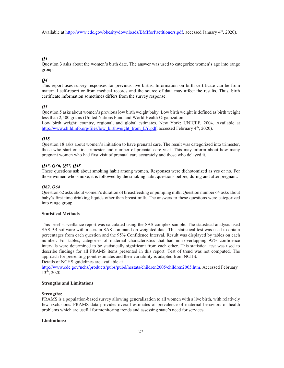Available at [http://www.cdc.gov/obesity/downloads/BMIforPactitioners.pdf,](http://www.cdc.gov/obesity/downloads/BMIforPactitioners.pdf) accessed January 4th, 2020).

#### *Q3*

Question 3 asks about the women's birth date. The answer was used to categorize women's age into range group.

#### *Q4*

This report uses survey responses for previous live births. Information on birth certificate can be from maternal self-report or from medical records and the source of data may affect the results. Thus, birth certificate information sometimes differs from the survey response.

#### *Q5*

Question 5 asks about women's previous low birth weight baby. Low birth weight is defined as birth weight less than 2,500 grams (United Nations Fund and World Health Organization.

Low birth weight: country, regional, and global estimates. New York: UNICEF, 2004. Available at [http://www.childinfo.org/files/low\\_birthweight\\_from\\_EY.pdf,](http://www.childinfo.org/files/low_birthweight_from_EY.pdf) accessed February 4<sup>th</sup>, 2020).

#### *Q18*

Question 18 asks about women's initiation to have prenatal care. The result was categorized into trimester, those who start on first trimester and number of prenatal care visit. This may inform about how many pregnant women who had first visit of prenatal care accurately and those who delayed it.

#### *Q35, Q36, Q37, Q38*

These questions ask about smoking habit among women. Responses were dichotomized as yes or no. For those women who smoke, it is followed by the smoking habit questions before, during and after pregnant.

#### *Q62, Q64*

Question 62 asks about women's duration of breastfeeding or pumping milk. Question number 64 asks about baby's first time drinking liquids other than breast milk. The answers to these questions were categorized into range group.

#### **Statistical Methods**

This brief surveillance report was calculated using the SAS complex sample. The statistical analysis used SAS 9.4 software with a certain SAS command on weighted data. This statistical test was used to obtain percentages from each question and the 95% Confidence Interval. Result was displayed by tables on each number. For tables, categories of maternal characteristics that had non-overlapping 95% confidence intervals were determined to be statistically significant from each other. This statistical test was used to describe findings for all PRAMS items presented in this report. Test of trend was not computed. The approach for presenting point estimates and their variability is adapted from NCHS.

Details of NCHS guidelines are available at

[http://www.cdc.gov/nchs/products/pubs/pubd/hestats/children2005/children2005.htm.](http://www.cdc.gov/nchs/products/pubs/pubd/hestats/children2005/children2005.htm) Accessed February 13th, 2020.

#### **Strengths and Limitations**

#### **Strengths:**

PRAMS is a population-based survey allowing generalization to all women with a live birth, with relatively few exclusions. PRAMS data provides overall estimates of prevalence of maternal behaviors or health problems which are useful for monitoring trends and assessing state's need for services.

#### **Limitations:**